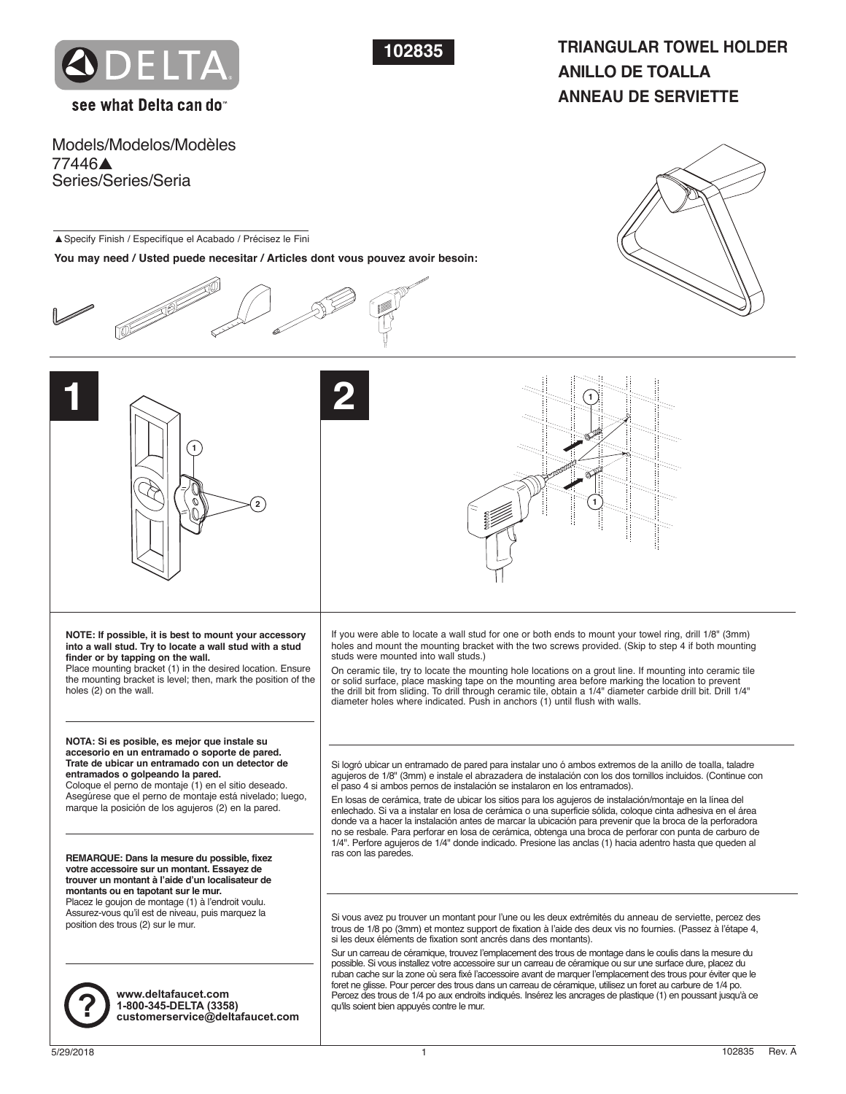



# **TRIANGULAR TOWEL HOLDER ANILLO DE TOALLA ANNEAU DE SERVIETTE**

see what Delta can do

Models/Modelos/Modèles 77446▲ Series/Series/Seria

▲Specify Finish / Especifíque el Acabado / Précisez le Fini

**You may need / Usted puede necesitar / Articles dont vous pouvez avoir besoin:**









**NOTE: If possible, it is best to mount your accessory into a wall stud. Try to locate a wall stud with a stud finder or by tapping on the wall.**

Place mounting bracket (1) in the desired location. Ensure the mounting bracket is level; then, mark the position of the holes (2) on the wall.

### **NOTA: Si es posible, es mejor que instale su accesorio en un entramado o soporte de pared. Trate de ubicar un entramado con un detector de entramados o golpeando la pared.**

Coloque el perno de montaje (1) en el sitio deseado. Asegúrese que el perno de montaje está nivelado; luego, marque la posición de los agujeros (2) en la pared.

**REMARQUE: Dans la mesure du possible, fixez votre accessoire sur un montant. Essayez de trouver un montant à l'aide d'un localisateur de montants ou en tapotant sur le mur.** Placez le goujon de montage (1) à l'endroit voulu. Assurez-vous qu'il est de niveau, puis marquez la position des trous (2) sur le mur.



**www.deltafaucet.com 1-800-345-DELTA (3358) ? customerservice@deltafaucet.com** If you were able to locate a wall stud for one or both ends to mount your towel ring, drill 1/8" (3mm) holes and mount the mounting bracket with the two screws provided. (Skip to step 4 if both mounting studs were mounted into wall studs.)

On ceramic tile, try to locate the mounting hole locations on a grout line. If mounting into ceramic tile or solid surface, place masking tape on the mounting area before marking the location to prevent the drill bit from sliding. To drill through ceramic tile, obtain a 1/4" diameter carbide drill bit. Drill 1/4" diameter holes where indicated. Push in anchors (1) until flush with walls.

Si logró ubicar un entramado de pared para instalar uno ó ambos extremos de la anillo de toalla, taladre agujeros de 1/8" (3mm) e instale el abrazadera de instalación con los dos tornillos incluidos. (Continue con el paso 4 si ambos pernos de instalación se instalaron en los entramados).

En losas de cerámica, trate de ubicar los sitios para los agujeros de instalación/montaje en la línea del enlechado. Si va a instalar en losa de cerámica o una superficie sólida, coloque cinta adhesiva en el área donde va a hacer la instalación antes de marcar la ubicación para prevenir que la broca de la perforadora no se resbale. Para perforar en losa de cerámica, obtenga una broca de perforar con punta de carburo de 1/4". Perfore agujeros de 1/4" donde indicado. Presione las anclas (1) hacia adentro hasta que queden al ras con las paredes.

Si vous avez pu trouver un montant pour l'une ou les deux extrémités du anneau de serviette, percez des trous de 1/8 po (3mm) et montez support de fixation à l'aide des deux vis no fournies. (Passez à l'étape 4, si les deux éléments de fixation sont ancrés dans des montants).

Sur un carreau de céramique, trouvez l'emplacement des trous de montage dans le coulis dans la mesure du possible. Si vous installez votre accessoire sur un carreau de céramique ou sur une surface dure, placez du ruban cache sur la zone où sera fixé l'accessoire avant de marquer l'emplacement des trous pour éviter que le foret ne glisse. Pour percer des trous dans un carreau de céramique, utilisez un foret au carbure de 1/4 po. Percez des trous de 1/4 po aux endroits indiqués. Insérez les ancrages de plastique (1) en poussant jusqu'à ce qu'ils soient bien appuyés contre le mur.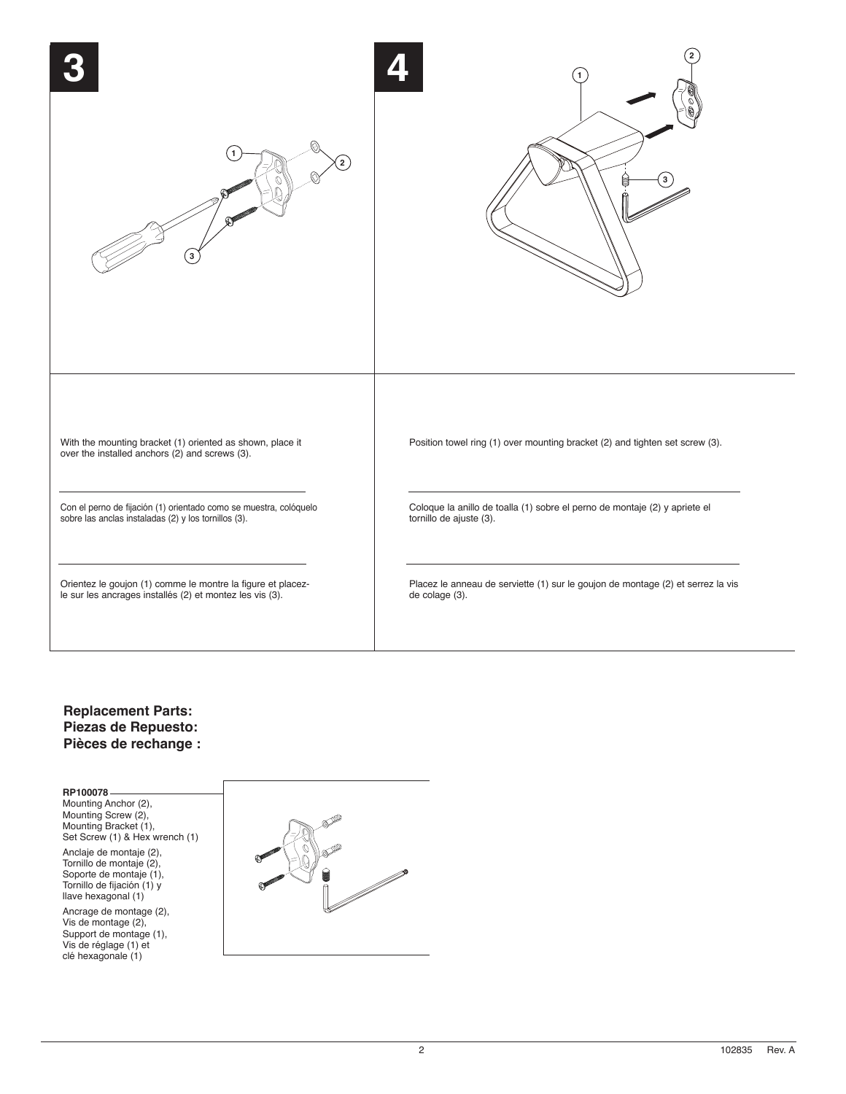

## **Replacement Parts: Piezas de Repuesto: Pièces de rechange :**

**RP100078** Mounting Anchor (2), Mounting Screw (2), Mounting Bracket (1), Set Screw (1) & Hex wrench (1)

Anclaje de montaje (2), Tornillo de montaje (2), Soporte de montaje (1), Tornillo de fijación (1) y llave hexagonal (1)

Ancrage de montage (2), Vis de montage (2), Support de montage (1), Vis de réglage (1) et clé hexagonale (1)



2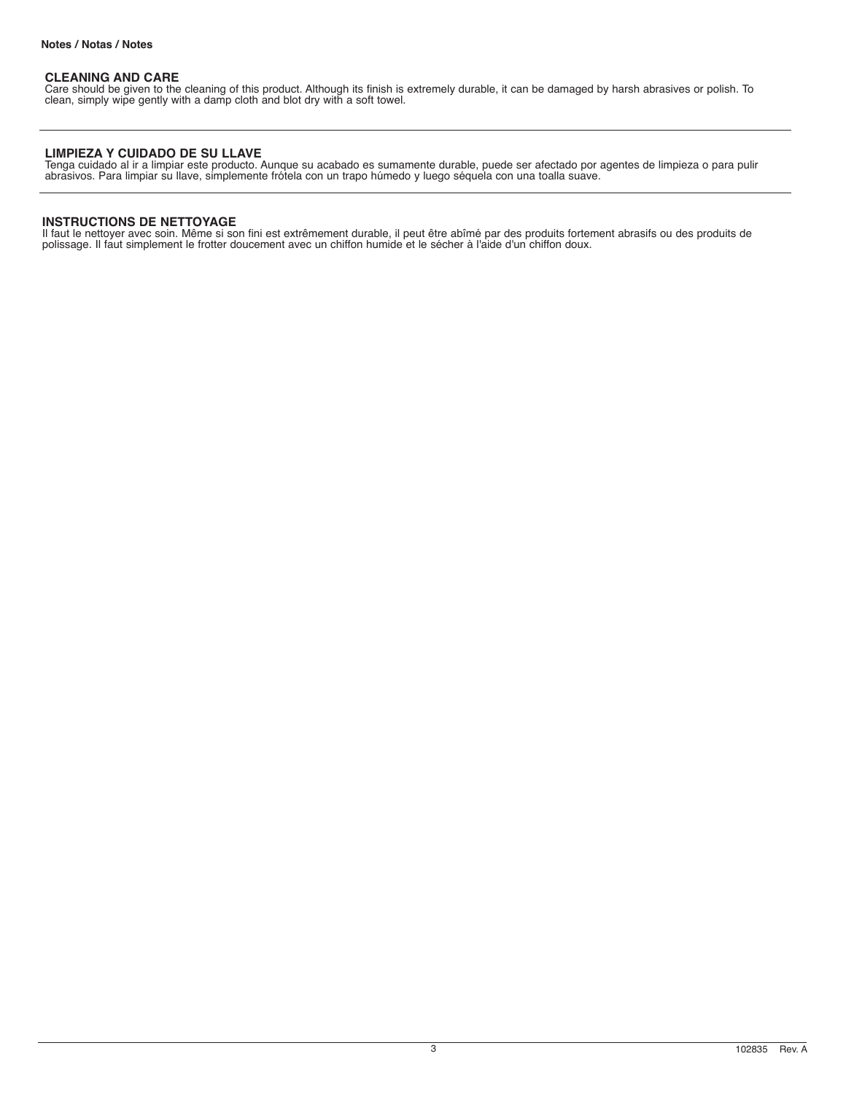## **CLEANING AND CARE**

Care should be given to the cleaning of this product. Although its finish is extremely durable, it can be damaged by harsh abrasives or polish. To clean, simply wipe gently with a damp cloth and blot dry with a soft towel.

## **LIMPIEZA Y CUIDADO DE SU LLAVE**

Tenga cuidado al ir a limpiar este producto. Aunque su acabado es sumamente durable, puede ser afectado por agentes de limpieza o para pulir abrasivos. Para limpiar su llave, simplemente frótela con un trapo húmedo y luego séquela con una toalla suave.

## **INSTRUCTIONS DE NETTOYAGE**

Il faut le nettoyer avec soin. Même si son fini est extrêmement durable, il peut être abîmé par des produits fortement abrasifs ou des produits de polissage. Il faut simplement le frotter doucement avec un chiffon humide et le sécher à l'aide d'un chiffon doux.